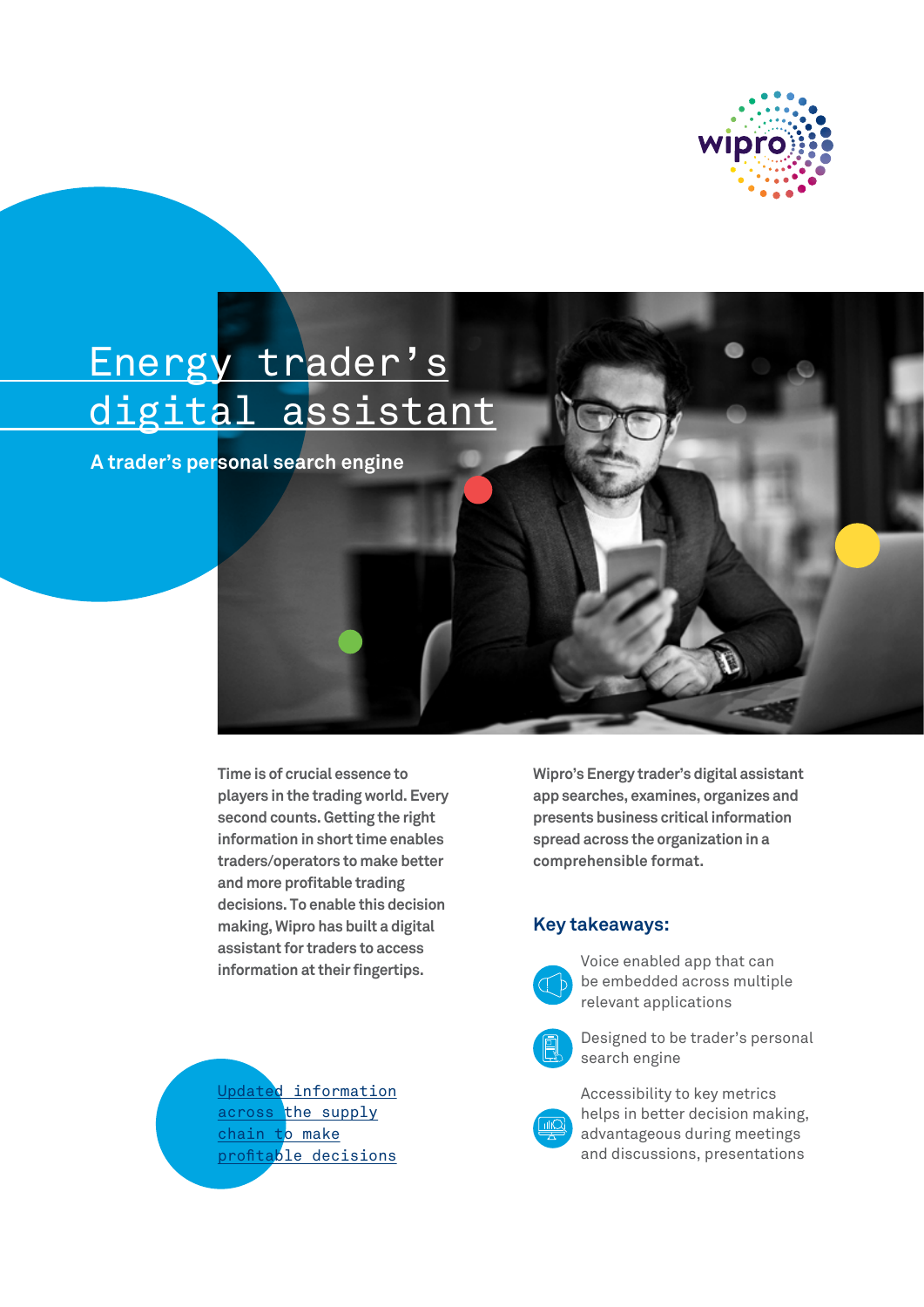

# Energy trader's digital assistant

**A trader's personal search engine**

**Time is of crucial essence to players in the trading world. Every second counts. Getting the right information in short time enables traders/operators to make better and more profitable trading decisions. To enable this decision making, Wipro has built a digital assistant for traders to access information at their fingertips.**



**Wipro's Energy trader's digital assistant app searches, examines, organizes and presents business critical information spread across the organization in a comprehensible format.**

### **Key takeaways:**



Voice enabled app that can be embedded across multiple relevant applications



 Designed to be trader's personal search engine

 Accessibility to key metrics helps in better decision making, advantageous during meetings and discussions, presentations